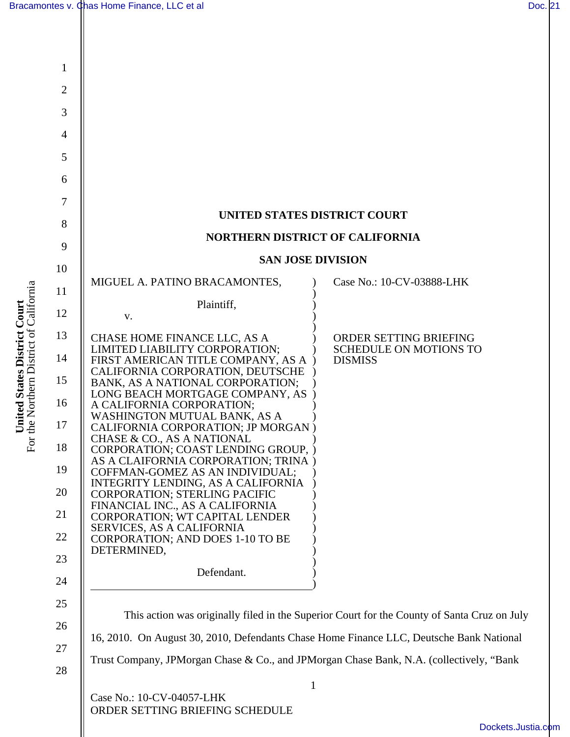**United States District Court**  For the Northern District of California

For the Northern District of California United States District Court



[Dockets.Justia.com](http://dockets.justia.com/)